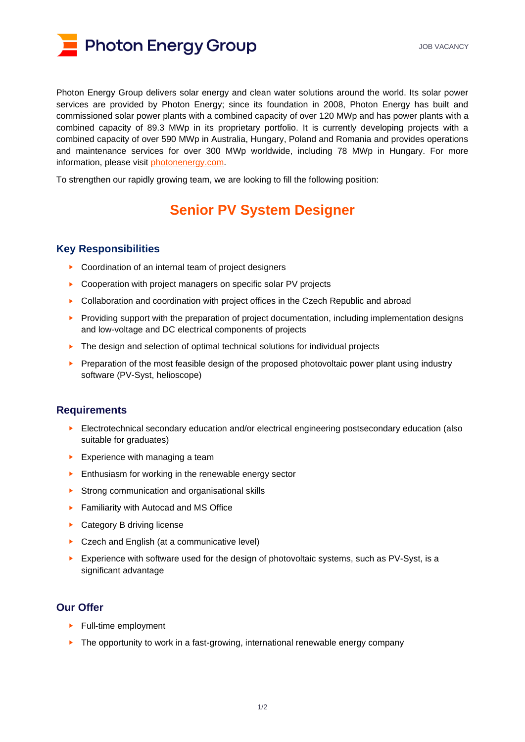

Photon Energy Group delivers solar energy and clean water solutions around the world. Its solar power services are provided by Photon Energy; since its foundation in 2008, Photon Energy has built and commissioned solar power plants with a combined capacity of over 120 MWp and has power plants with a combined capacity of 89.3 MWp in its proprietary portfolio. It is currently developing projects with a combined capacity of over 590 MWp in Australia, Hungary, Poland and Romania and provides operations and maintenance services for over 300 MWp worldwide, including 78 MWp in Hungary. For more information, please visit [photonenergy.com.](https://www.photonenergy.com/)

To strengthen our rapidly growing team, we are looking to fill the following position:

## **Senior PV System Designer**

## **Key Responsibilities**

- ► Coordination of an internal team of project designers
- ► Cooperation with project managers on specific solar PV projects
- ► Collaboration and coordination with project offices in the Czech Republic and abroad
- ► Providing support with the preparation of project documentation, including implementation designs and low-voltage and DC electrical components of projects
- ► The design and selection of optimal technical solutions for individual projects
- Preparation of the most feasible design of the proposed photovoltaic power plant using industry software (PV-Syst, helioscope)

## **Requirements**

- ► Electrotechnical secondary education and/or electrical engineering postsecondary education (also suitable for graduates)
- ► Experience with managing a team
- ► Enthusiasm for working in the renewable energy sector
- ► Strong communication and organisational skills
- ► Familiarity with Autocad and MS Office
- ► Category B driving license
- ► Czech and English (at a communicative level)
- Experience with software used for the design of photovoltaic systems, such as PV-Syst, is a significant advantage

## **Our Offer**

- ► Full-time employment
- ► The opportunity to work in a fast-growing, international renewable energy company